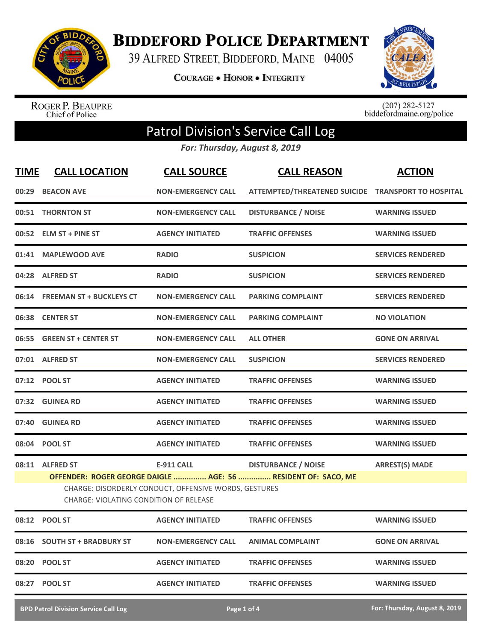

**BIDDEFORD POLICE DEPARTMENT** 

39 ALFRED STREET, BIDDEFORD, MAINE 04005

**COURAGE . HONOR . INTEGRITY** 



ROGER P. BEAUPRE<br>Chief of Police

 $(207)$  282-5127<br>biddefordmaine.org/police

## Patrol Division's Service Call Log

*For: Thursday, August 8, 2019*

| <b>TIME</b> | <b>CALL LOCATION</b>                                                                                                                                                    | <b>CALL SOURCE</b>        | <b>CALL REASON</b>                                 | <b>ACTION</b>            |  |
|-------------|-------------------------------------------------------------------------------------------------------------------------------------------------------------------------|---------------------------|----------------------------------------------------|--------------------------|--|
|             | 00:29 BEACON AVE                                                                                                                                                        | <b>NON-EMERGENCY CALL</b> | ATTEMPTED/THREATENED SUICIDE TRANSPORT TO HOSPITAL |                          |  |
|             | 00:51 THORNTON ST                                                                                                                                                       | <b>NON-EMERGENCY CALL</b> | <b>DISTURBANCE / NOISE</b>                         | <b>WARNING ISSUED</b>    |  |
|             | 00:52 ELM ST + PINE ST                                                                                                                                                  | <b>AGENCY INITIATED</b>   | <b>TRAFFIC OFFENSES</b>                            | <b>WARNING ISSUED</b>    |  |
|             | 01:41 MAPLEWOOD AVE                                                                                                                                                     | <b>RADIO</b>              | <b>SUSPICION</b>                                   | <b>SERVICES RENDERED</b> |  |
|             | 04:28 ALFRED ST                                                                                                                                                         | <b>RADIO</b>              | <b>SUSPICION</b>                                   | <b>SERVICES RENDERED</b> |  |
|             | 06:14 FREEMAN ST + BUCKLEYS CT                                                                                                                                          | <b>NON-EMERGENCY CALL</b> | <b>PARKING COMPLAINT</b>                           | <b>SERVICES RENDERED</b> |  |
|             | 06:38 CENTER ST                                                                                                                                                         | <b>NON-EMERGENCY CALL</b> | <b>PARKING COMPLAINT</b>                           | <b>NO VIOLATION</b>      |  |
|             | 06:55 GREEN ST + CENTER ST                                                                                                                                              | <b>NON-EMERGENCY CALL</b> | <b>ALL OTHER</b>                                   | <b>GONE ON ARRIVAL</b>   |  |
|             | 07:01 ALFRED ST                                                                                                                                                         | <b>NON-EMERGENCY CALL</b> | <b>SUSPICION</b>                                   | <b>SERVICES RENDERED</b> |  |
|             | 07:12 POOL ST                                                                                                                                                           | <b>AGENCY INITIATED</b>   | <b>TRAFFIC OFFENSES</b>                            | <b>WARNING ISSUED</b>    |  |
|             | 07:32 GUINEA RD                                                                                                                                                         | <b>AGENCY INITIATED</b>   | <b>TRAFFIC OFFENSES</b>                            | <b>WARNING ISSUED</b>    |  |
|             | 07:40 GUINEA RD                                                                                                                                                         | <b>AGENCY INITIATED</b>   | <b>TRAFFIC OFFENSES</b>                            | <b>WARNING ISSUED</b>    |  |
|             | 08:04 POOL ST                                                                                                                                                           | <b>AGENCY INITIATED</b>   | <b>TRAFFIC OFFENSES</b>                            | <b>WARNING ISSUED</b>    |  |
|             | 08:11 ALFRED ST                                                                                                                                                         | E-911 CALL                | <b>DISTURBANCE / NOISE</b>                         | <b>ARREST(S) MADE</b>    |  |
|             | OFFENDER: ROGER GEORGE DAIGLE  AGE: 56  RESIDENT OF: SACO, ME<br>CHARGE: DISORDERLY CONDUCT, OFFENSIVE WORDS, GESTURES<br><b>CHARGE: VIOLATING CONDITION OF RELEASE</b> |                           |                                                    |                          |  |
|             | 08:12 POOL ST                                                                                                                                                           | <b>AGENCY INITIATED</b>   | <b>TRAFFIC OFFENSES</b>                            | <b>WARNING ISSUED</b>    |  |
|             | 08:16 SOUTH ST + BRADBURY ST                                                                                                                                            | <b>NON-EMERGENCY CALL</b> | <b>ANIMAL COMPLAINT</b>                            | <b>GONE ON ARRIVAL</b>   |  |
|             | 08:20 POOL ST                                                                                                                                                           | <b>AGENCY INITIATED</b>   | <b>TRAFFIC OFFENSES</b>                            | <b>WARNING ISSUED</b>    |  |
|             | 08:27 POOL ST                                                                                                                                                           | <b>AGENCY INITIATED</b>   | <b>TRAFFIC OFFENSES</b>                            | <b>WARNING ISSUED</b>    |  |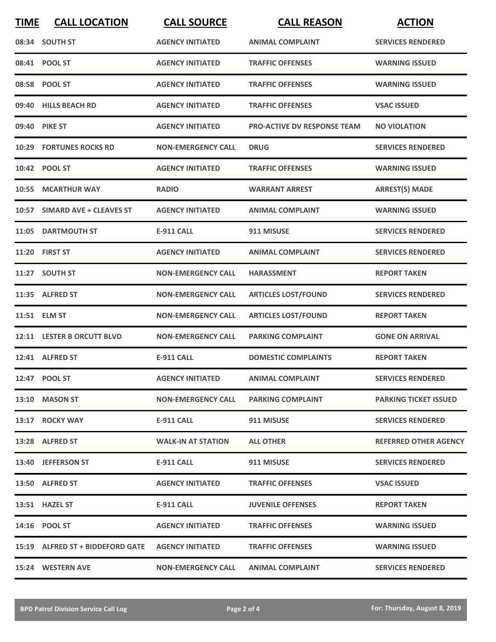| <b>TIME</b> | <b>CALL LOCATION</b>             | <b>CALL SOURCE</b>        | <b>CALL REASON</b>                 | <b>ACTION</b>                |
|-------------|----------------------------------|---------------------------|------------------------------------|------------------------------|
|             | 08:34 SOUTH ST                   | <b>AGENCY INITIATED</b>   | <b>ANIMAL COMPLAINT</b>            | <b>SERVICES RENDERED</b>     |
|             | 08:41 POOL ST                    | <b>AGENCY INITIATED</b>   | <b>TRAFFIC OFFENSES</b>            | <b>WARNING ISSUED</b>        |
|             | 08:58 POOL ST                    | <b>AGENCY INITIATED</b>   | <b>TRAFFIC OFFENSES</b>            | <b>WARNING ISSUED</b>        |
|             | 09:40 HILLS BEACH RD             | <b>AGENCY INITIATED</b>   | <b>TRAFFIC OFFENSES</b>            | <b>VSAC ISSUED</b>           |
|             | 09:40 PIKE ST                    | <b>AGENCY INITIATED</b>   | <b>PRO-ACTIVE DV RESPONSE TEAM</b> | <b>NO VIOLATION</b>          |
|             | <b>10:29 FORTUNES ROCKS RD</b>   | <b>NON-EMERGENCY CALL</b> | <b>DRUG</b>                        | <b>SERVICES RENDERED</b>     |
|             | 10:42 POOL ST                    | <b>AGENCY INITIATED</b>   | <b>TRAFFIC OFFENSES</b>            | <b>WARNING ISSUED</b>        |
| 10:55       | <b>MCARTHUR WAY</b>              | <b>RADIO</b>              | <b>WARRANT ARREST</b>              | <b>ARREST(S) MADE</b>        |
|             | 10:57 SIMARD AVE + CLEAVES ST    | <b>AGENCY INITIATED</b>   | <b>ANIMAL COMPLAINT</b>            | <b>WARNING ISSUED</b>        |
|             | 11:05 DARTMOUTH ST               | <b>E-911 CALL</b>         | 911 MISUSE                         | <b>SERVICES RENDERED</b>     |
|             | 11:20 FIRST ST                   | <b>AGENCY INITIATED</b>   | <b>ANIMAL COMPLAINT</b>            | <b>SERVICES RENDERED</b>     |
|             | 11:27 SOUTH ST                   | <b>NON-EMERGENCY CALL</b> | <b>HARASSMENT</b>                  | <b>REPORT TAKEN</b>          |
|             | 11:35 ALFRED ST                  | <b>NON-EMERGENCY CALL</b> | <b>ARTICLES LOST/FOUND</b>         | <b>SERVICES RENDERED</b>     |
|             | 11:51 ELM ST                     | <b>NON-EMERGENCY CALL</b> | <b>ARTICLES LOST/FOUND</b>         | <b>REPORT TAKEN</b>          |
|             | 12:11 LESTER B ORCUTT BLVD       | <b>NON-EMERGENCY CALL</b> | <b>PARKING COMPLAINT</b>           | <b>GONE ON ARRIVAL</b>       |
|             | 12:41 ALFRED ST                  | <b>E-911 CALL</b>         | <b>DOMESTIC COMPLAINTS</b>         | <b>REPORT TAKEN</b>          |
|             | 12:47 POOL ST                    | <b>AGENCY INITIATED</b>   | <b>ANIMAL COMPLAINT</b>            | <b>SERVICES RENDERED</b>     |
|             | 13:10 MASON ST                   | <b>NON-EMERGENCY CALL</b> | <b>PARKING COMPLAINT</b>           | <b>PARKING TICKET ISSUED</b> |
|             | 13:17 ROCKY WAY                  | E-911 CALL                | 911 MISUSE                         | <b>SERVICES RENDERED</b>     |
|             | 13:28 ALFRED ST                  | <b>WALK-IN AT STATION</b> | <b>ALL OTHER</b>                   | <b>REFERRED OTHER AGENCY</b> |
|             | 13:40 JEFFERSON ST               | E-911 CALL                | 911 MISUSE                         | <b>SERVICES RENDERED</b>     |
|             | 13:50 ALFRED ST                  | <b>AGENCY INITIATED</b>   | <b>TRAFFIC OFFENSES</b>            | <b>VSAC ISSUED</b>           |
|             | 13:51 HAZEL ST                   | E-911 CALL                | <b>JUVENILE OFFENSES</b>           | <b>REPORT TAKEN</b>          |
|             | 14:16 POOL ST                    | <b>AGENCY INITIATED</b>   | <b>TRAFFIC OFFENSES</b>            | <b>WARNING ISSUED</b>        |
|             | 15:19 ALFRED ST + BIDDEFORD GATE | <b>AGENCY INITIATED</b>   | <b>TRAFFIC OFFENSES</b>            | <b>WARNING ISSUED</b>        |
|             | 15:24 WESTERN AVE                | <b>NON-EMERGENCY CALL</b> | <b>ANIMAL COMPLAINT</b>            | <b>SERVICES RENDERED</b>     |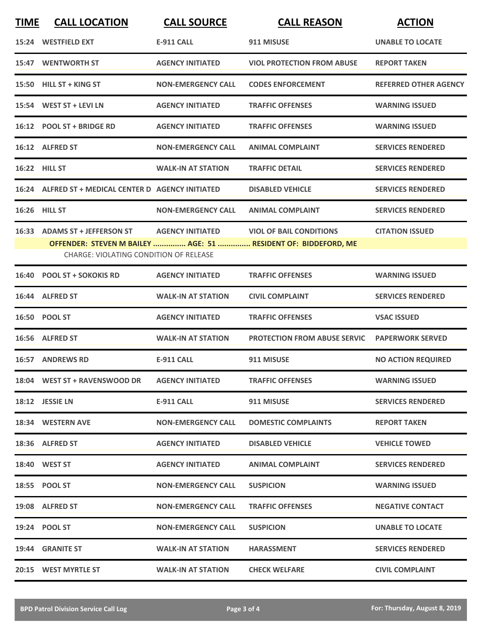| <b>TIME</b> | <b>CALL LOCATION</b>                                                    | <b>CALL SOURCE</b>        | <b>CALL REASON</b>                                                                               | <b>ACTION</b>                |
|-------------|-------------------------------------------------------------------------|---------------------------|--------------------------------------------------------------------------------------------------|------------------------------|
|             | 15:24 WESTFIELD EXT                                                     | <b>E-911 CALL</b>         | 911 MISUSE                                                                                       | <b>UNABLE TO LOCATE</b>      |
|             | 15:47 WENTWORTH ST                                                      | <b>AGENCY INITIATED</b>   | <b>VIOL PROTECTION FROM ABUSE</b>                                                                | <b>REPORT TAKEN</b>          |
| 15:50       | <b>HILL ST + KING ST</b>                                                | <b>NON-EMERGENCY CALL</b> | <b>CODES ENFORCEMENT</b>                                                                         | <b>REFERRED OTHER AGENCY</b> |
|             | 15:54 WEST ST + LEVI LN                                                 | <b>AGENCY INITIATED</b>   | <b>TRAFFIC OFFENSES</b>                                                                          | <b>WARNING ISSUED</b>        |
|             | 16:12 POOL ST + BRIDGE RD                                               | <b>AGENCY INITIATED</b>   | <b>TRAFFIC OFFENSES</b>                                                                          | <b>WARNING ISSUED</b>        |
|             | 16:12 ALFRED ST                                                         | <b>NON-EMERGENCY CALL</b> | <b>ANIMAL COMPLAINT</b>                                                                          | <b>SERVICES RENDERED</b>     |
|             | 16:22 HILL ST                                                           | <b>WALK-IN AT STATION</b> | <b>TRAFFIC DETAIL</b>                                                                            | <b>SERVICES RENDERED</b>     |
|             | 16:24 ALFRED ST + MEDICAL CENTER D AGENCY INITIATED                     |                           | <b>DISABLED VEHICLE</b>                                                                          | <b>SERVICES RENDERED</b>     |
|             | 16:26 HILL ST                                                           | <b>NON-EMERGENCY CALL</b> | <b>ANIMAL COMPLAINT</b>                                                                          | <b>SERVICES RENDERED</b>     |
|             | 16:33 ADAMS ST + JEFFERSON ST<br>CHARGE: VIOLATING CONDITION OF RELEASE | <b>AGENCY INITIATED</b>   | <b>VIOL OF BAIL CONDITIONS</b><br>OFFENDER: STEVEN M BAILEY  AGE: 51  RESIDENT OF: BIDDEFORD, ME | <b>CITATION ISSUED</b>       |
|             | 16:40 POOL ST + SOKOKIS RD                                              | <b>AGENCY INITIATED</b>   | <b>TRAFFIC OFFENSES</b>                                                                          | <b>WARNING ISSUED</b>        |
|             | 16:44 ALFRED ST                                                         | <b>WALK-IN AT STATION</b> | <b>CIVIL COMPLAINT</b>                                                                           | <b>SERVICES RENDERED</b>     |
|             | 16:50 POOL ST                                                           | <b>AGENCY INITIATED</b>   | <b>TRAFFIC OFFENSES</b>                                                                          | <b>VSAC ISSUED</b>           |
|             | 16:56 ALFRED ST                                                         | <b>WALK-IN AT STATION</b> | <b>PROTECTION FROM ABUSE SERVIC</b>                                                              | <b>PAPERWORK SERVED</b>      |
|             | <b>16:57 ANDREWS RD</b>                                                 | <b>E-911 CALL</b>         | 911 MISUSE                                                                                       | <b>NO ACTION REQUIRED</b>    |
|             | 18:04 WEST ST + RAVENSWOOD DR                                           | <b>AGENCY INITIATED</b>   | <b>TRAFFIC OFFENSES</b>                                                                          | <b>WARNING ISSUED</b>        |
|             | 18:12 JESSIE LN                                                         | E-911 CALL                | 911 MISUSE                                                                                       | <b>SERVICES RENDERED</b>     |
|             | 18:34 WESTERN AVE                                                       | <b>NON-EMERGENCY CALL</b> | <b>DOMESTIC COMPLAINTS</b>                                                                       | <b>REPORT TAKEN</b>          |
|             | 18:36 ALFRED ST                                                         | <b>AGENCY INITIATED</b>   | <b>DISABLED VEHICLE</b>                                                                          | <b>VEHICLE TOWED</b>         |
|             | 18:40 WEST ST                                                           | <b>AGENCY INITIATED</b>   | <b>ANIMAL COMPLAINT</b>                                                                          | <b>SERVICES RENDERED</b>     |
|             | 18:55 POOL ST                                                           | <b>NON-EMERGENCY CALL</b> | <b>SUSPICION</b>                                                                                 | <b>WARNING ISSUED</b>        |
|             | 19:08 ALFRED ST                                                         | <b>NON-EMERGENCY CALL</b> | <b>TRAFFIC OFFENSES</b>                                                                          | <b>NEGATIVE CONTACT</b>      |
|             | 19:24 POOL ST                                                           | <b>NON-EMERGENCY CALL</b> | <b>SUSPICION</b>                                                                                 | <b>UNABLE TO LOCATE</b>      |
|             | 19:44 GRANITE ST                                                        | <b>WALK-IN AT STATION</b> | <b>HARASSMENT</b>                                                                                | <b>SERVICES RENDERED</b>     |
|             | 20:15 WEST MYRTLE ST                                                    | <b>WALK-IN AT STATION</b> | <b>CHECK WELFARE</b>                                                                             | <b>CIVIL COMPLAINT</b>       |